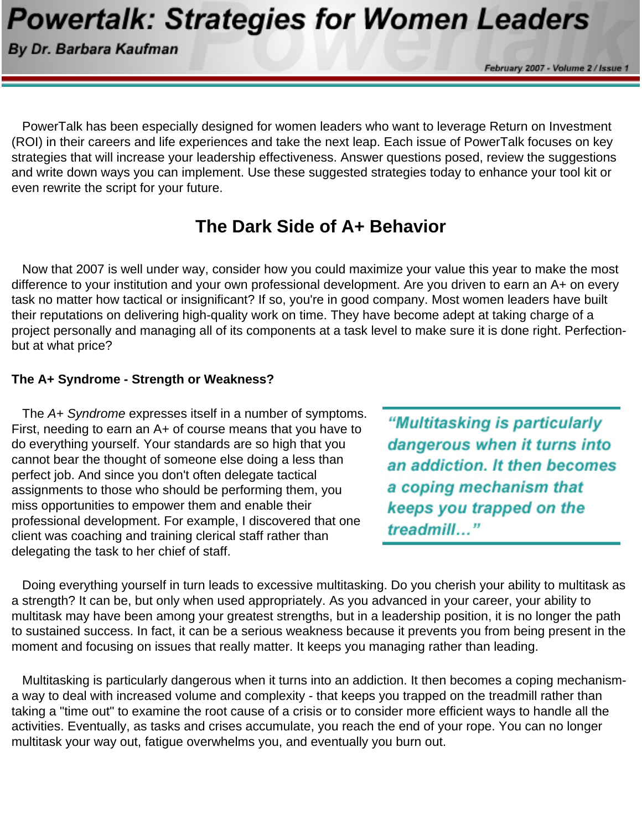# **Powertalk: Strategies for Women Leaders**

By Dr. Barbara Kaufman

February 2007 - Volume 2 / Issue

 PowerTalk has been especially designed for women leaders who want to leverage Return on Investment (ROI) in their careers and life experiences and take the next leap. Each issue of PowerTalk focuses on key strategies that will increase your leadership effectiveness. Answer questions posed, review the suggestions and write down ways you can implement. Use these suggested strategies today to enhance your tool kit or even rewrite the script for your future.

## **The Dark Side of A+ Behavior**

 Now that 2007 is well under way, consider how you could maximize your value this year to make the most difference to your institution and your own professional development. Are you driven to earn an A+ on every task no matter how tactical or insignificant? If so, you're in good company. Most women leaders have built their reputations on delivering high-quality work on time. They have become adept at taking charge of a project personally and managing all of its components at a task level to make sure it is done right. Perfectionbut at what price?

#### **The A+ Syndrome - Strength or Weakness?**

 The *A+ Syndrome* expresses itself in a number of symptoms. First, needing to earn an A+ of course means that you have to do everything yourself. Your standards are so high that you cannot bear the thought of someone else doing a less than perfect job. And since you don't often delegate tactical assignments to those who should be performing them, you miss opportunities to empower them and enable their professional development. For example, I discovered that one client was coaching and training clerical staff rather than delegating the task to her chief of staff.

"Multitasking is particularly dangerous when it turns into an addiction. It then becomes a coping mechanism that keeps you trapped on the treadmill..."

 Doing everything yourself in turn leads to excessive multitasking. Do you cherish your ability to multitask as a strength? It can be, but only when used appropriately. As you advanced in your career, your ability to multitask may have been among your greatest strengths, but in a leadership position, it is no longer the path to sustained success. In fact, it can be a serious weakness because it prevents you from being present in the moment and focusing on issues that really matter. It keeps you managing rather than leading.

 Multitasking is particularly dangerous when it turns into an addiction. It then becomes a coping mechanisma way to deal with increased volume and complexity - that keeps you trapped on the treadmill rather than taking a "time out" to examine the root cause of a crisis or to consider more efficient ways to handle all the activities. Eventually, as tasks and crises accumulate, you reach the end of your rope. You can no longer multitask your way out, fatigue overwhelms you, and eventually you burn out.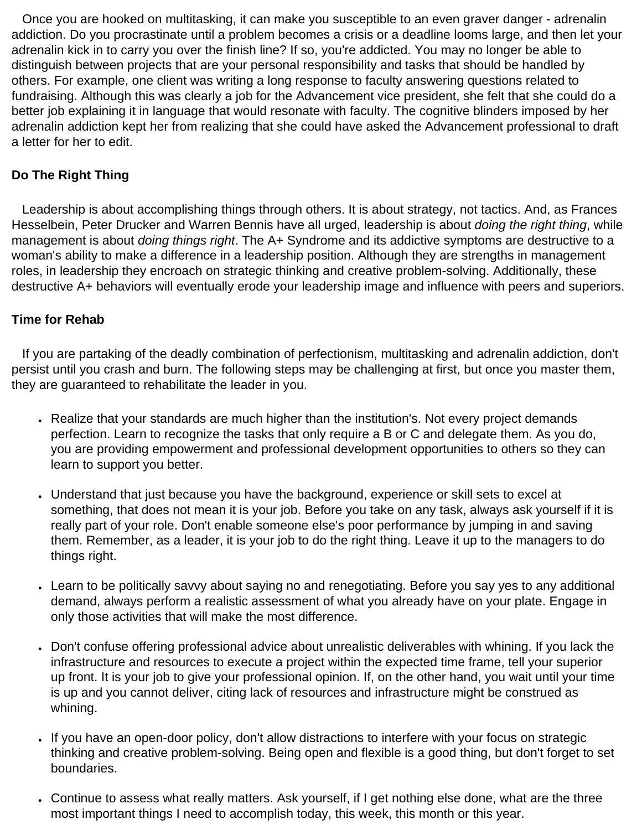Once you are hooked on multitasking, it can make you susceptible to an even graver danger - adrenalin addiction. Do you procrastinate until a problem becomes a crisis or a deadline looms large, and then let your adrenalin kick in to carry you over the finish line? If so, you're addicted. You may no longer be able to distinguish between projects that are your personal responsibility and tasks that should be handled by others. For example, one client was writing a long response to faculty answering questions related to fundraising. Although this was clearly a job for the Advancement vice president, she felt that she could do a better job explaining it in language that would resonate with faculty. The cognitive blinders imposed by her adrenalin addiction kept her from realizing that she could have asked the Advancement professional to draft a letter for her to edit.

### **Do The Right Thing**

 Leadership is about accomplishing things through others. It is about strategy, not tactics. And, as Frances Hesselbein, Peter Drucker and Warren Bennis have all urged, leadership is about *doing the right thing*, while management is about *doing things right*. The A+ Syndrome and its addictive symptoms are destructive to a woman's ability to make a difference in a leadership position. Although they are strengths in management roles, in leadership they encroach on strategic thinking and creative problem-solving. Additionally, these destructive A+ behaviors will eventually erode your leadership image and influence with peers and superiors.

#### **Time for Rehab**

 If you are partaking of the deadly combination of perfectionism, multitasking and adrenalin addiction, don't persist until you crash and burn. The following steps may be challenging at first, but once you master them, they are guaranteed to rehabilitate the leader in you.

- Realize that your standards are much higher than the institution's. Not every project demands perfection. Learn to recognize the tasks that only require a B or C and delegate them. As you do, you are providing empowerment and professional development opportunities to others so they can learn to support you better.
- Understand that just because you have the background, experience or skill sets to excel at something, that does not mean it is your job. Before you take on any task, always ask yourself if it is really part of your role. Don't enable someone else's poor performance by jumping in and saving them. Remember, as a leader, it is your job to do the right thing. Leave it up to the managers to do things right.
- Learn to be politically savvy about saying no and renegotiating. Before you say yes to any additional demand, always perform a realistic assessment of what you already have on your plate. Engage in only those activities that will make the most difference.
- Don't confuse offering professional advice about unrealistic deliverables with whining. If you lack the infrastructure and resources to execute a project within the expected time frame, tell your superior up front. It is your job to give your professional opinion. If, on the other hand, you wait until your time is up and you cannot deliver, citing lack of resources and infrastructure might be construed as whining.
- If you have an open-door policy, don't allow distractions to interfere with your focus on strategic thinking and creative problem-solving. Being open and flexible is a good thing, but don't forget to set boundaries.
- Continue to assess what really matters. Ask yourself, if I get nothing else done, what are the three most important things I need to accomplish today, this week, this month or this year.